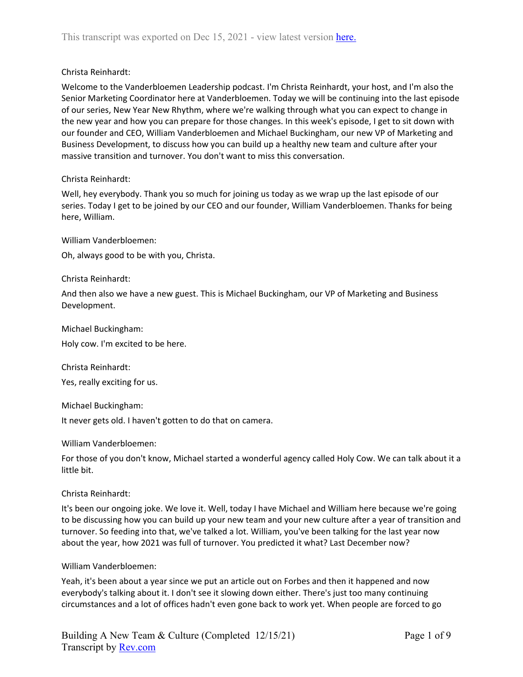## Christa Reinhardt:

Welcome to the Vanderbloemen Leadership podcast. I'm Christa Reinhardt, your host, and I'm also the Senior Marketing Coordinator here at Vanderbloemen. Today we will be continuing into the last episode of our series, New Year New Rhythm, where we're walking through what you can expect to change in the new year and how you can prepare for those changes. In this week's episode, I get to sit down with our founder and CEO, William Vanderbloemen and Michael Buckingham, our new VP of Marketing and Business Development, to discuss how you can build up a healthy new team and culture after your massive transition and turnover. You don't want to miss this conversation.

## Christa Reinhardt:

Well, hey everybody. Thank you so much for joining us today as we wrap up the last episode of our series. Today I get to be joined by our CEO and our founder, William Vanderbloemen. Thanks for being here, William.

William Vanderbloemen:

Oh, always good to be with you, Christa.

## Christa Reinhardt:

And then also we have a new guest. This is Michael Buckingham, our VP of Marketing and Business Development.

Michael Buckingham:

Holy cow. I'm excited to be here.

Christa Reinhardt:

Yes, really exciting for us.

Michael Buckingham:

It never gets old. I haven't gotten to do that on camera.

William Vanderbloemen:

For those of you don't know, Michael started a wonderful agency called Holy Cow. We can talk about it a little bit.

## Christa Reinhardt:

It's been our ongoing joke. We love it. Well, today I have Michael and William here because we're going to be discussing how you can build up your new team and your new culture after a year of transition and turnover. So feeding into that, we've talked a lot. William, you've been talking for the last year now about the year, how 2021 was full of turnover. You predicted it what? Last December now?

## William Vanderbloemen:

Yeah, it's been about a year since we put an article out on Forbes and then it happened and now everybody's talking about it. I don't see it slowing down either. There's just too many continuing circumstances and a lot of offices hadn't even gone back to work yet. When people are forced to go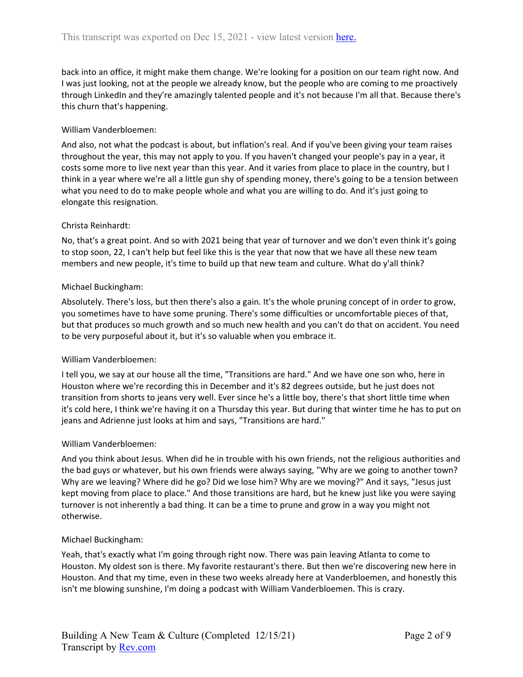back into an office, it might make them change. We're looking for a position on our team right now. And I was just looking, not at the people we already know, but the people who are coming to me proactively through LinkedIn and they're amazingly talented people and it's not because I'm all that. Because there's this churn that's happening.

## William Vanderbloemen:

And also, not what the podcast is about, but inflation's real. And if you've been giving your team raises throughout the year, this may not apply to you. If you haven't changed your people's pay in a year, it costs some more to live next year than this year. And it varies from place to place in the country, but I think in a year where we're all a little gun shy of spending money, there's going to be a tension between what you need to do to make people whole and what you are willing to do. And it's just going to elongate this resignation.

## Christa Reinhardt:

No, that's a great point. And so with 2021 being that year of turnover and we don't even think it's going to stop soon, 22, I can't help but feel like this is the year that now that we have all these new team members and new people, it's time to build up that new team and culture. What do y'all think?

## Michael Buckingham:

Absolutely. There's loss, but then there's also a gain. It's the whole pruning concept of in order to grow, you sometimes have to have some pruning. There's some difficulties or uncomfortable pieces of that, but that produces so much growth and so much new health and you can't do that on accident. You need to be very purposeful about it, but it's so valuable when you embrace it.

## William Vanderbloemen:

I tell you, we say at our house all the time, "Transitions are hard." And we have one son who, here in Houston where we're recording this in December and it's 82 degrees outside, but he just does not transition from shorts to jeans very well. Ever since he's a little boy, there's that short little time when it's cold here, I think we're having it on a Thursday this year. But during that winter time he has to put on jeans and Adrienne just looks at him and says, "Transitions are hard."

## William Vanderbloemen:

And you think about Jesus. When did he in trouble with his own friends, not the religious authorities and the bad guys or whatever, but his own friends were always saying, "Why are we going to another town? Why are we leaving? Where did he go? Did we lose him? Why are we moving?" And it says, "Jesus just kept moving from place to place." And those transitions are hard, but he knew just like you were saying turnover is not inherently a bad thing. It can be a time to prune and grow in a way you might not otherwise.

## Michael Buckingham:

Yeah, that's exactly what I'm going through right now. There was pain leaving Atlanta to come to Houston. My oldest son is there. My favorite restaurant's there. But then we're discovering new here in Houston. And that my time, even in these two weeks already here at Vanderbloemen, and honestly this isn't me blowing sunshine, I'm doing a podcast with William Vanderbloemen. This is crazy.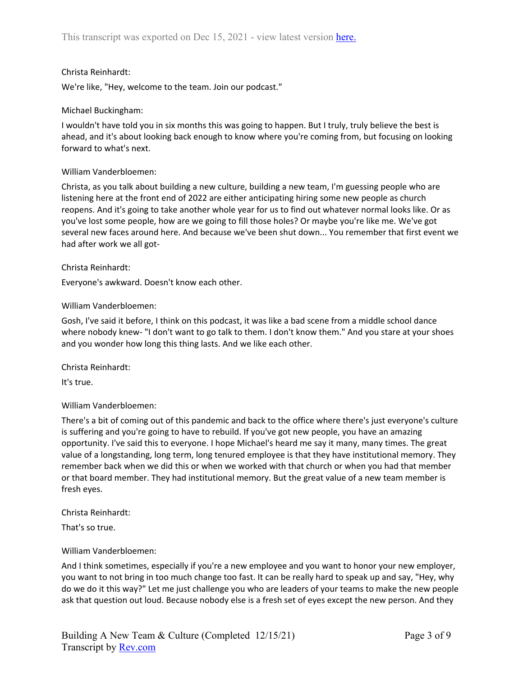## Christa Reinhardt:

We're like, "Hey, welcome to the team. Join our podcast."

## Michael Buckingham:

I wouldn't have told you in six months this was going to happen. But I truly, truly believe the best is ahead, and it's about looking back enough to know where you're coming from, but focusing on looking forward to what's next.

### William Vanderbloemen:

Christa, as you talk about building a new culture, building a new team, I'm guessing people who are listening here at the front end of 2022 are either anticipating hiring some new people as church reopens. And it's going to take another whole year for us to find out whatever normal looks like. Or as you've lost some people, how are we going to fill those holes? Or maybe you're like me. We've got several new faces around here. And because we've been shut down... You remember that first event we had after work we all got-

### Christa Reinhardt:

Everyone's awkward. Doesn't know each other.

### William Vanderbloemen:

Gosh, I've said it before, I think on this podcast, it was like a bad scene from a middle school dance where nobody knew- "I don't want to go talk to them. I don't know them." And you stare at your shoes and you wonder how long this thing lasts. And we like each other.

Christa Reinhardt:

It's true.

## William Vanderbloemen:

There's a bit of coming out of this pandemic and back to the office where there's just everyone's culture is suffering and you're going to have to rebuild. If you've got new people, you have an amazing opportunity. I've said this to everyone. I hope Michael's heard me say it many, many times. The great value of a longstanding, long term, long tenured employee is that they have institutional memory. They remember back when we did this or when we worked with that church or when you had that member or that board member. They had institutional memory. But the great value of a new team member is fresh eyes.

Christa Reinhardt:

That's so true.

## William Vanderbloemen:

And I think sometimes, especially if you're a new employee and you want to honor your new employer, you want to not bring in too much change too fast. It can be really hard to speak up and say, "Hey, why do we do it this way?" Let me just challenge you who are leaders of your teams to make the new people ask that question out loud. Because nobody else is a fresh set of eyes except the new person. And they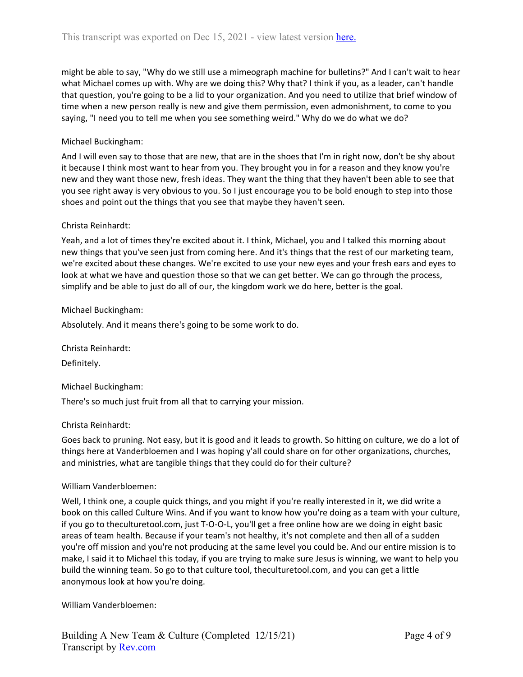might be able to say, "Why do we still use a mimeograph machine for bulletins?" And I can't wait to hear what Michael comes up with. Why are we doing this? Why that? I think if you, as a leader, can't handle that question, you're going to be a lid to your organization. And you need to utilize that brief window of time when a new person really is new and give them permission, even admonishment, to come to you saying, "I need you to tell me when you see something weird." Why do we do what we do?

## Michael Buckingham:

And I will even say to those that are new, that are in the shoes that I'm in right now, don't be shy about it because I think most want to hear from you. They brought you in for a reason and they know you're new and they want those new, fresh ideas. They want the thing that they haven't been able to see that you see right away is very obvious to you. So I just encourage you to be bold enough to step into those shoes and point out the things that you see that maybe they haven't seen.

## Christa Reinhardt:

Yeah, and a lot of times they're excited about it. I think, Michael, you and I talked this morning about new things that you've seen just from coming here. And it's things that the rest of our marketing team, we're excited about these changes. We're excited to use your new eyes and your fresh ears and eyes to look at what we have and question those so that we can get better. We can go through the process, simplify and be able to just do all of our, the kingdom work we do here, better is the goal.

## Michael Buckingham:

Absolutely. And it means there's going to be some work to do.

Christa Reinhardt:

Definitely.

Michael Buckingham:

There's so much just fruit from all that to carrying your mission.

## Christa Reinhardt:

Goes back to pruning. Not easy, but it is good and it leads to growth. So hitting on culture, we do a lot of things here at Vanderbloemen and I was hoping y'all could share on for other organizations, churches, and ministries, what are tangible things that they could do for their culture?

## William Vanderbloemen:

Well, I think one, a couple quick things, and you might if you're really interested in it, we did write a book on this called Culture Wins. And if you want to know how you're doing as a team with your culture, if you go to theculturetool.com, just T-O-O-L, you'll get a free online how are we doing in eight basic areas of team health. Because if your team's not healthy, it's not complete and then all of a sudden you're off mission and you're not producing at the same level you could be. And our entire mission is to make, I said it to Michael this today, if you are trying to make sure Jesus is winning, we want to help you build the winning team. So go to that culture tool, theculturetool.com, and you can get a little anonymous look at how you're doing.

William Vanderbloemen: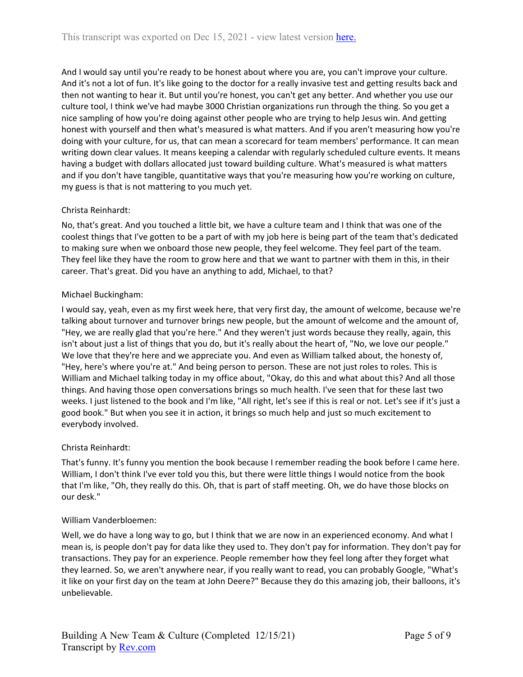And I would say until you're ready to be honest about where you are, you can't improve your culture. And it's not a lot of fun. It's like going to the doctor for a really invasive test and getting results back and then not wanting to hear it. But until you're honest, you can't get any better. And whether you use our culture tool, I think we've had maybe 3000 Christian organizations run through the thing. So you get a nice sampling of how you're doing against other people who are trying to help Jesus win. And getting honest with yourself and then what's measured is what matters. And if you aren't measuring how you're doing with your culture, for us, that can mean a scorecard for team members' performance. It can mean writing down clear values. It means keeping a calendar with regularly scheduled culture events. It means having a budget with dollars allocated just toward building culture. What's measured is what matters and if you don't have tangible, quantitative ways that you're measuring how you're working on culture, my guess is that is not mattering to you much yet.

# Christa Reinhardt:

No, that's great. And you touched a little bit, we have a culture team and I think that was one of the coolest things that I've gotten to be a part of with my job here is being part of the team that's dedicated to making sure when we onboard those new people, they feel welcome. They feel part of the team. They feel like they have the room to grow here and that we want to partner with them in this, in their career. That's great. Did you have an anything to add, Michael, to that?

# Michael Buckingham:

I would say, yeah, even as my first week here, that very first day, the amount of welcome, because we're talking about turnover and turnover brings new people, but the amount of welcome and the amount of, "Hey, we are really glad that you're here." And they weren't just words because they really, again, this isn't about just a list of things that you do, but it's really about the heart of, "No, we love our people." We love that they're here and we appreciate you. And even as William talked about, the honesty of, "Hey, here's where you're at." And being person to person. These are not just roles to roles. This is William and Michael talking today in my office about, "Okay, do this and what about this? And all those things. And having those open conversations brings so much health. I've seen that for these last two weeks. I just listened to the book and I'm like, "All right, let's see if this is real or not. Let's see if it's just a good book." But when you see it in action, it brings so much help and just so much excitement to everybody involved.

# Christa Reinhardt:

That's funny. It's funny you mention the book because I remember reading the book before I came here. William, I don't think I've ever told you this, but there were little things I would notice from the book that I'm like, "Oh, they really do this. Oh, that is part of staff meeting. Oh, we do have those blocks on our desk."

# William Vanderbloemen:

Well, we do have a long way to go, but I think that we are now in an experienced economy. And what I mean is, is people don't pay for data like they used to. They don't pay for information. They don't pay for transactions. They pay for an experience. People remember how they feel long after they forget what they learned. So, we aren't anywhere near, if you really want to read, you can probably Google, "What's it like on your first day on the team at John Deere?" Because they do this amazing job, their balloons, it's unbelievable.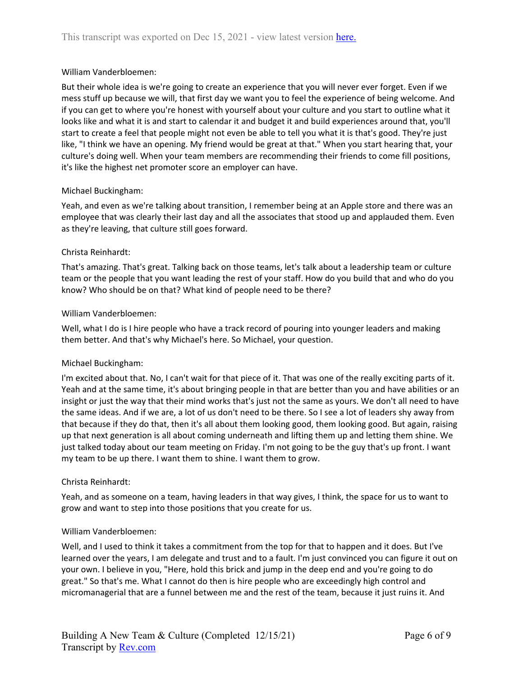## William Vanderbloemen:

But their whole idea is we're going to create an experience that you will never ever forget. Even if we mess stuff up because we will, that first day we want you to feel the experience of being welcome. And if you can get to where you're honest with yourself about your culture and you start to outline what it looks like and what it is and start to calendar it and budget it and build experiences around that, you'll start to create a feel that people might not even be able to tell you what it is that's good. They're just like, "I think we have an opening. My friend would be great at that." When you start hearing that, your culture's doing well. When your team members are recommending their friends to come fill positions, it's like the highest net promoter score an employer can have.

### Michael Buckingham:

Yeah, and even as we're talking about transition, I remember being at an Apple store and there was an employee that was clearly their last day and all the associates that stood up and applauded them. Even as they're leaving, that culture still goes forward.

### Christa Reinhardt:

That's amazing. That's great. Talking back on those teams, let's talk about a leadership team or culture team or the people that you want leading the rest of your staff. How do you build that and who do you know? Who should be on that? What kind of people need to be there?

### William Vanderbloemen:

Well, what I do is I hire people who have a track record of pouring into younger leaders and making them better. And that's why Michael's here. So Michael, your question.

## Michael Buckingham:

I'm excited about that. No, I can't wait for that piece of it. That was one of the really exciting parts of it. Yeah and at the same time, it's about bringing people in that are better than you and have abilities or an insight or just the way that their mind works that's just not the same as yours. We don't all need to have the same ideas. And if we are, a lot of us don't need to be there. So I see a lot of leaders shy away from that because if they do that, then it's all about them looking good, them looking good. But again, raising up that next generation is all about coming underneath and lifting them up and letting them shine. We just talked today about our team meeting on Friday. I'm not going to be the guy that's up front. I want my team to be up there. I want them to shine. I want them to grow.

## Christa Reinhardt:

Yeah, and as someone on a team, having leaders in that way gives, I think, the space for us to want to grow and want to step into those positions that you create for us.

#### William Vanderbloemen:

Well, and I used to think it takes a commitment from the top for that to happen and it does. But I've learned over the years, I am delegate and trust and to a fault. I'm just convinced you can figure it out on your own. I believe in you, "Here, hold this brick and jump in the deep end and you're going to do great." So that's me. What I cannot do then is hire people who are exceedingly high control and micromanagerial that are a funnel between me and the rest of the team, because it just ruins it. And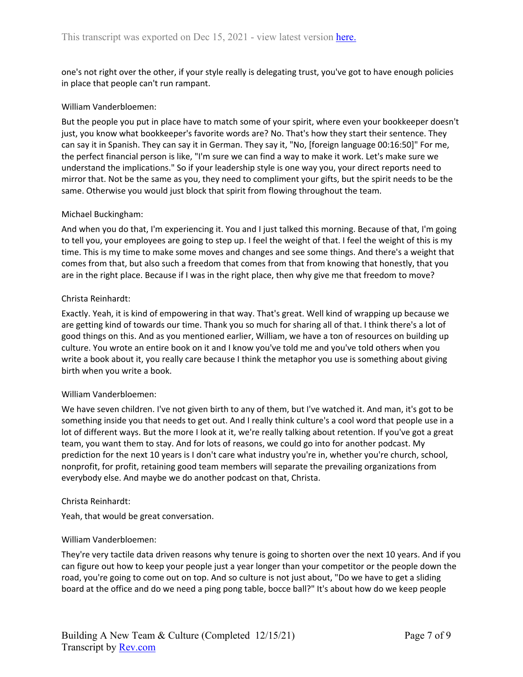one's not right over the other, if your style really is delegating trust, you've got to have enough policies in place that people can't run rampant.

### William Vanderbloemen:

But the people you put in place have to match some of your spirit, where even your bookkeeper doesn't just, you know what bookkeeper's favorite words are? No. That's how they start their sentence. They can say it in Spanish. They can say it in German. They say it, "No, [foreign language 00:16:50]" For me, the perfect financial person is like, "I'm sure we can find a way to make it work. Let's make sure we understand the implications." So if your leadership style is one way you, your direct reports need to mirror that. Not be the same as you, they need to compliment your gifts, but the spirit needs to be the same. Otherwise you would just block that spirit from flowing throughout the team.

### Michael Buckingham:

And when you do that, I'm experiencing it. You and I just talked this morning. Because of that, I'm going to tell you, your employees are going to step up. I feel the weight of that. I feel the weight of this is my time. This is my time to make some moves and changes and see some things. And there's a weight that comes from that, but also such a freedom that comes from that from knowing that honestly, that you are in the right place. Because if I was in the right place, then why give me that freedom to move?

### Christa Reinhardt:

Exactly. Yeah, it is kind of empowering in that way. That's great. Well kind of wrapping up because we are getting kind of towards our time. Thank you so much for sharing all of that. I think there's a lot of good things on this. And as you mentioned earlier, William, we have a ton of resources on building up culture. You wrote an entire book on it and I know you've told me and you've told others when you write a book about it, you really care because I think the metaphor you use is something about giving birth when you write a book.

## William Vanderbloemen:

We have seven children. I've not given birth to any of them, but I've watched it. And man, it's got to be something inside you that needs to get out. And I really think culture's a cool word that people use in a lot of different ways. But the more I look at it, we're really talking about retention. If you've got a great team, you want them to stay. And for lots of reasons, we could go into for another podcast. My prediction for the next 10 years is I don't care what industry you're in, whether you're church, school, nonprofit, for profit, retaining good team members will separate the prevailing organizations from everybody else. And maybe we do another podcast on that, Christa.

#### Christa Reinhardt:

Yeah, that would be great conversation.

#### William Vanderbloemen:

They're very tactile data driven reasons why tenure is going to shorten over the next 10 years. And if you can figure out how to keep your people just a year longer than your competitor or the people down the road, you're going to come out on top. And so culture is not just about, "Do we have to get a sliding board at the office and do we need a ping pong table, bocce ball?" It's about how do we keep people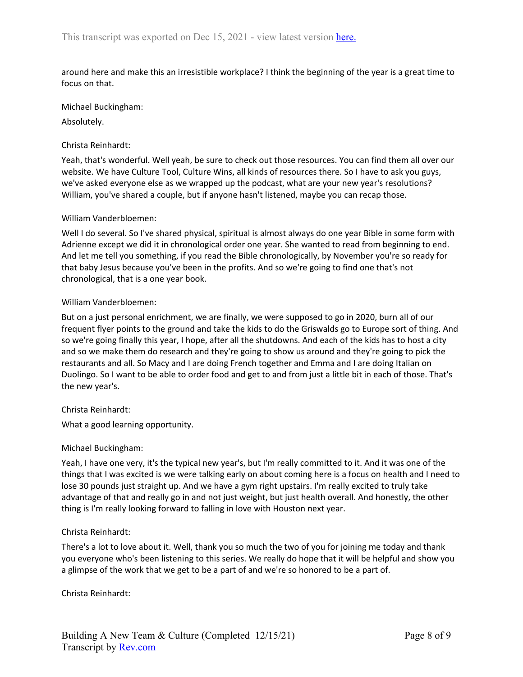around here and make this an irresistible workplace? I think the beginning of the year is a great time to focus on that.

Michael Buckingham:

Absolutely.

## Christa Reinhardt:

Yeah, that's wonderful. Well yeah, be sure to check out those resources. You can find them all over our website. We have Culture Tool, Culture Wins, all kinds of resources there. So I have to ask you guys, we've asked everyone else as we wrapped up the podcast, what are your new year's resolutions? William, you've shared a couple, but if anyone hasn't listened, maybe you can recap those.

## William Vanderbloemen:

Well I do several. So I've shared physical, spiritual is almost always do one year Bible in some form with Adrienne except we did it in chronological order one year. She wanted to read from beginning to end. And let me tell you something, if you read the Bible chronologically, by November you're so ready for that baby Jesus because you've been in the profits. And so we're going to find one that's not chronological, that is a one year book.

## William Vanderbloemen:

But on a just personal enrichment, we are finally, we were supposed to go in 2020, burn all of our frequent flyer points to the ground and take the kids to do the Griswalds go to Europe sort of thing. And so we're going finally this year, I hope, after all the shutdowns. And each of the kids has to host a city and so we make them do research and they're going to show us around and they're going to pick the restaurants and all. So Macy and I are doing French together and Emma and I are doing Italian on Duolingo. So I want to be able to order food and get to and from just a little bit in each of those. That's the new year's.

## Christa Reinhardt:

What a good learning opportunity.

## Michael Buckingham:

Yeah, I have one very, it's the typical new year's, but I'm really committed to it. And it was one of the things that I was excited is we were talking early on about coming here is a focus on health and I need to lose 30 pounds just straight up. And we have a gym right upstairs. I'm really excited to truly take advantage of that and really go in and not just weight, but just health overall. And honestly, the other thing is I'm really looking forward to falling in love with Houston next year.

## Christa Reinhardt:

There's a lot to love about it. Well, thank you so much the two of you for joining me today and thank you everyone who's been listening to this series. We really do hope that it will be helpful and show you a glimpse of the work that we get to be a part of and we're so honored to be a part of.

Christa Reinhardt: